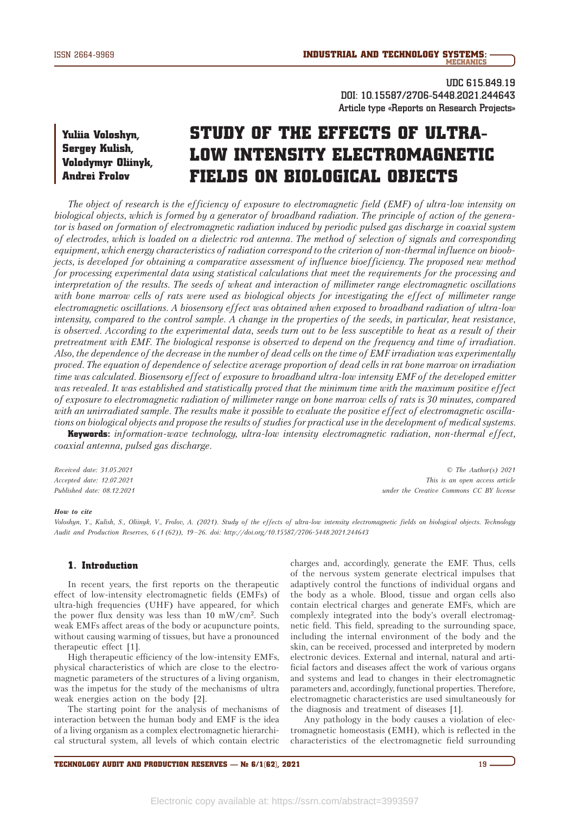**UDC 615.849.19 DOI: 10.15587/2706-5448.2021.244643 Article type «Reports on Research Projects»**

# Yuliia Voloshyn, Sergey Kulish, Volodymyr Oliinyk, Andrei Frolov

# STUDY OF THE EFFECTS OF ULTRA-LOW INTENSITY ELECTROMAGNETIC FIELDS ON BIOLOGICAL OBJECTS

*The object of research is the efficiency of exposure to electromagnetic field (EMF) of ultra-low intensity on biological objects, which is formed by a generator of broadband radiation. The principle of action of the generator is based on formation of electromagnetic radiation induced by periodic pulsed gas discharge in coaxial system of electrodes, which is loaded on a dielectric rod antenna. The method of selection of signals and corresponding equipment, which energy characteristics of radiation correspond to the criterion of non-thermal influence on bioobjects, is developed for obtaining a comparative assessment of influence bioefficiency. The proposed new method for processing experimental data using statistical calculations that meet the requirements for the processing and interpretation of the results. The seeds of wheat and interaction of millimeter range electromagnetic oscillations*  with bone marrow cells of rats were used as biological objects for investigating the effect of millimeter range *electromagnetic oscillations. A biosensory effect was obtained when exposed to broadband radiation of ultra-low intensity, compared to the control sample. A change in the properties of the seeds, in particular, heat resistance, is observed. According to the experimental data, seeds turn out to be less susceptible to heat as a result of their pretreatment with EMF. The biological response is observed to depend on the frequency and time of irradiation. Also, the dependence of the decrease in the number of dead cells on the time of EMF irradiation was experimentally proved. The equation of dependence of selective average proportion of dead cells in rat bone marrow on irradiation time was calculated. Biosensory effect of exposure to broadband ultra-low intensity EMF of the developed emitter was revealed. It was established and statistically proved that the minimum time with the maximum positive effect of exposure to electromagnetic radiation of millimeter range on bone marrow cells of rats is 30 minutes, compared with an unirradiated sample. The results make it possible to evaluate the positive effect of electromagnetic oscillations on biological objects and propose the results of studies for practical use in the development of medical systems.*

Keywords: *information-wave technology, ultra-low intensity electromagnetic radiation, non-thermal effect, coaxial antenna, pulsed gas discharge.*

*Received date: 31.05.2021 Accepted date: 12.07.2021 Published date: 08.12.2021*

*© The Author(s) 2021 This is an open access article under the Creative Commons CC BY license*

#### *How to cite*

*Voloshyn, Y., Kulish, S., Oliinyk, V., Frolov, A. (2021). Study of the effects of ultra-low intensity electromagnetic fields on biological objects. Technology Audit and Production Reserves, 6 (1 (62)), 19–26. doi: http://doi.org/10.15587/2706-5448.2021.244643*

### 1. Introduction

In recent years, the first reports on the therapeutic effect of low-intensity electromagnetic fields (EMFs) of ultra-high frequencies (UHF) have appeared, for which the power flux density was less than 10 mW/cm<sup>2</sup>. Such weak EMFs affect areas of the body or acupuncture points, without causing warming of tissues, but have a pronounced therapeutic effect [1].

High therapeutic efficiency of the low-intensity EMFs, physical characteristics of which are close to the electromagnetic parameters of the structures of a living organism, was the impetus for the study of the mechanisms of ultra weak energies action on the body [2].

The starting point for the analysis of mechanisms of interaction between the human body and EMF is the idea of a living organism as a complex electromagnetic hierarchical structural system, all levels of which contain electric

charges and, accordingly, generate the EMF. Thus, cells of the nervous system generate electrical impulses that adaptively control the functions of individual organs and the body as a whole. Blood, tissue and organ cells also contain electrical charges and generate EMFs, which are complexly integrated into the body's overall electromagnetic field. This field, spreading to the surrounding space, including the internal environment of the body and the skin, can be received, processed and interpreted by modern electronic devices. External and internal, natural and artificial factors and diseases affect the work of various organs and systems and lead to changes in their electromagnetic parameters and, accordingly, functional properties. Therefore, electromagnetic characteristics are used simultaneously for the diagnosis and treatment of diseases [1].

Any pathology in the body causes a violation of electromagnetic homeostasis (EMH), which is reflected in the characteristics of the electromagnetic field surrounding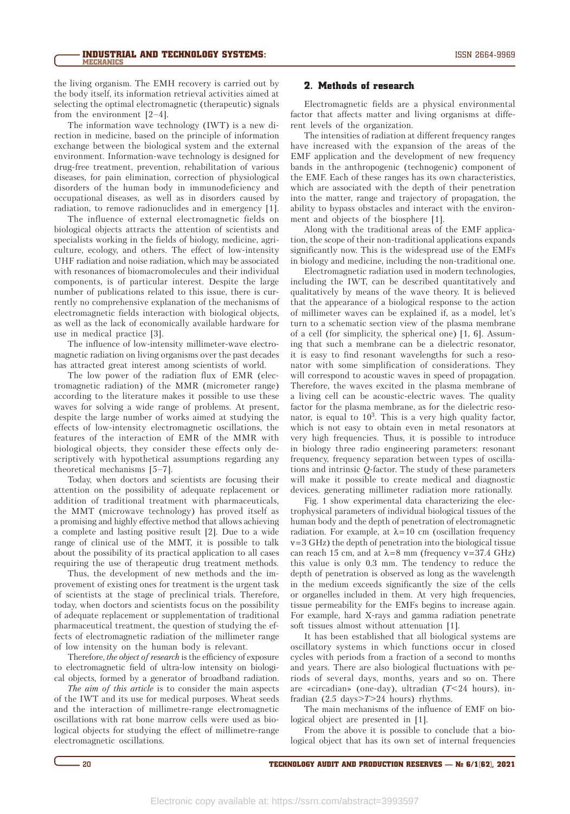the living organism. The EMH recovery is carried out by the body itself, its information retrieval activities aimed at selecting the optimal electromagnetic (therapeutic) signals from the environment [2–4].

The information wave technology (IWT) is a new direction in medicine, based on the principle of information exchange between the biological system and the external environment. Information-wave technology is designed for drug-free treatment, prevention, rehabilitation of various diseases, for pain elimination, correction of physiological disorders of the human body in immunodeficiency and occupational diseases, as well as in disorders caused by radiation, to remove radionuclides and in emergency [1].

The influence of external electromagnetic fields on biological objects attracts the attention of scientists and specialists working in the fields of biology, medicine, agriculture, ecology, and others. The effect of low-intensity UHF radiation and noise radiation, which may be associated with resonances of biomacromolecules and their individual components, is of particular interest. Despite the large number of publications related to this issue, there is currently no comprehensive explanation of the mechanisms of electromagnetic fields interaction with biological objects, as well as the lack of economically available hardware for use in medical practice [3].

The influence of low-intensity millimeter-wave electromagnetic radiation on living organisms over the past decades has attracted great interest among scientists of world.

The low power of the radiation flux of EMR (electromagnetic radiation) of the MMR (micrometer range) according to the literature makes it possible to use these waves for solving a wide range of problems. At present, despite the large number of works aimed at studying the effects of low-intensity electromagnetic oscillations, the features of the interaction of EMR of the MMR with biological objects, they consider these effects only descriptively with hypothetical assumptions regarding any theoretical mechanisms [5–7].

Today, when doctors and scientists are focusing their attention on the possibility of adequate replacement or addition of traditional treatment with pharmaceuticals, the MMT (microwave technology) has proved itself as a promising and highly effective method that allows achieving a complete and lasting positive result [2]. Due to a wide range of clinical use of the MMT, it is possible to talk about the possibility of its practical application to all cases requiring the use of therapeutic drug treatment methods.

Thus, the development of new methods and the improvement of existing ones for treatment is the urgent task of scientists at the stage of preclinical trials. Therefore, today, when doctors and scientists focus on the possibility of adequate replacement or supplementation of traditional pharmaceutical treatment, the question of studying the effects of electromagnetic radiation of the millimeter range of low intensity on the human body is relevant.

Therefore, *the object of research* is the efficiency of exposure to electromagnetic field of ultra-low intensity on biological objects, formed by a generator of broadband radiation.

*The aim of this article* is to consider the main aspects of the IWT and its use for medical purposes. Wheat seeds and the interaction of millimetre-range electromagnetic oscillations with rat bone marrow cells were used as biological objects for studying the effect of millimetre-range electromagnetic oscillations.

#### 2. Methods of research

Electromagnetic fields are a physical environmental factor that affects matter and living organisms at different levels of the organization.

The intensities of radiation at different frequency ranges have increased with the expansion of the areas of the EMF application and the development of new frequency bands in the anthropogenic (technogenic) component of the EMF. Each of these ranges has its own characteristics, which are associated with the depth of their penetration into the matter, range and trajectory of propagation, the ability to bypass obstacles and interact with the environment and objects of the biosphere [1].

Along with the traditional areas of the EMF application, the scope of their non-traditional applications expands significantly now. This is the widespread use of the EMFs in biology and medicine, including the non-traditional one.

Electromagnetic radiation used in modern technologies, including the IWT, can be described quantitatively and qualitatively by means of the wave theory. It is believed that the appearance of a biological response to the action of millimeter waves can be explained if, as a model, let's turn to a schematic section view of the plasma membrane of a cell (for simplicity, the spherical one) [1, 6]. Assuming that such a membrane can be a dielectric resonator, it is easy to find resonant wavelengths for such a resonator with some simplification of considerations. They will correspond to acoustic waves in speed of propagation. Therefore, the waves excited in the plasma membrane of a living cell can be acoustic-electric waves. The quality factor for the plasma membrane, as for the dielectric resonator, is equal to  $10<sup>3</sup>$ . This is a very high quality factor, which is not easy to obtain even in metal resonators at very high frequencies. Thus, it is possible to introduce in biology three radio engineering parameters: resonant frequency, frequency separation between types of oscillations and intrinsic *Q*-factor. The study of these parameters will make it possible to create medical and diagnostic devices. generating millimeter radiation more rationally.

Fig. 1 show experimental data characterizing the electrophysical parameters of individual biological tissues of the human body and the depth of penetration of electromagnetic radiation. For example, at  $\lambda = 10$  cm (oscillation frequency  $v=3$  GHz) the depth of penetration into the biological tissue can reach 15 cm, and at  $\lambda$ =8 mm (frequency v=37.4 GHz) this value is only 0.3 mm. The tendency to reduce the depth of penetration is observed as long as the wavelength in the medium exceeds significantly the size of the cells or organelles included in them. At very high frequencies, tissue permeability for the EMFs begins to increase again. For example, hard X-rays and gamma radiation penetrate soft tissues almost without attenuation [1].

It has been established that all biological systems are oscillatory systems in which functions occur in closed cycles with periods from a fraction of a second to months and years. There are also biological fluctuations with periods of several days, months, years and so on. There are «circadian» (one-day), ultradian (*T*<24 hours), infradian (2.5 days>*T*>24 hours) rhythms.

The main mechanisms of the influence of EMF on biological object are presented in [1].

From the above it is possible to conclude that a biological object that has its own set of internal frequencies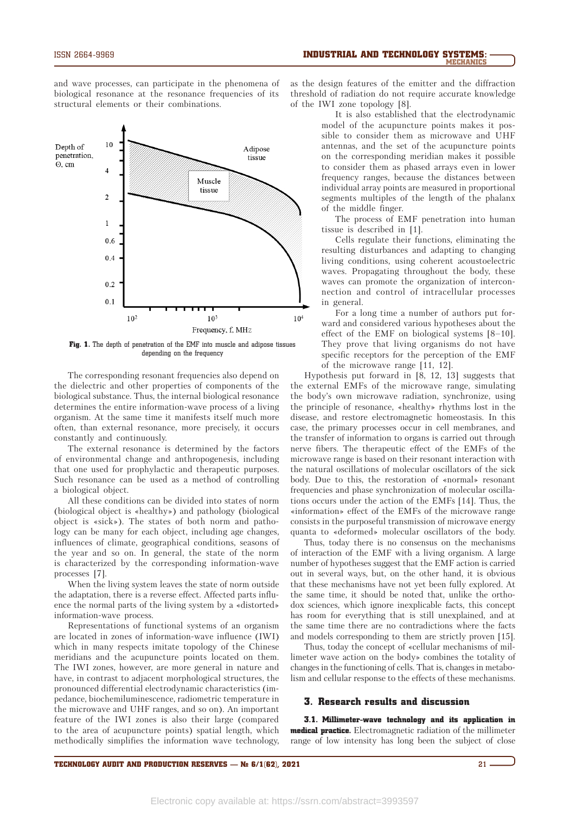and wave processes, can participate in the phenomena of biological resonance at the resonance frequencies of its structural elements or their combinations.



Fig. 1. The depth of penetration of the EMF into muscle and adipose tissues depending on the frequency

The corresponding resonant frequencies also depend on the dielectric and other properties of components of the biological substance. Thus, the internal biological resonance determines the entire information-wave process of a living organism. At the same time it manifests itself much more often, than external resonance, more precisely, it occurs constantly and continuously.

The external resonance is determined by the factors of environmental change and anthropogenesis, including that one used for prophylactic and therapeutic purposes. Such resonance can be used as a method of controlling a biological object.

All these conditions can be divided into states of norm (biological object is «healthy») and pathology (biological object is «sick»). The states of both norm and pathology can be many for each object, including age changes, influences of climate, geographical conditions, seasons of the year and so on. In general, the state of the norm is characterized by the corresponding information-wave processes [7].

When the living system leaves the state of norm outside the adaptation, there is a reverse effect. Affected parts influence the normal parts of the living system by a «distorted» information-wave process.

Representations of functional systems of an organism are located in zones of information-wave influence (IWI) which in many respects imitate topology of the Chinese meridians and the acupuncture points located on them. The IWI zones, however, are more general in nature and have, in contrast to adjacent morphological structures, the pronounced differential electrodynamic characteristics (impedance, biochemiluminescence, radiometric temperature in the microwave and UHF ranges, and so on). An important feature of the IWI zones is also their large (compared to the area of acupuncture points) spatial length, which methodically simplifies the information wave technology, as the design features of the emitter and the diffraction threshold of radiation do not require accurate knowledge of the IWI zone topology [8].

> It is also established that the electrodynamic model of the acupuncture points makes it possible to consider them as microwave and UHF antennas, and the set of the acupuncture points on the corresponding meridian makes it possible to consider them as phased arrays even in lower frequency ranges, because the distances between individual array points are measured in proportional segments multiples of the length of the phalanx of the middle finger.

> The process of EMF penetration into human tissue is described in [1].

> Cells regulate their functions, eliminating the resulting disturbances and adapting to changing living conditions, using coherent acoustoelectric waves. Propagating throughout the body, these waves can promote the organization of interconnection and control of intracellular processes in general.

For a long time a number of authors put forward and considered various hypotheses about the effect of the EMF on biological systems [8–10]. They prove that living organisms do not have specific receptors for the perception of the EMF of the microwave range [11, 12].

Hypothesis put forward in [8, 12, 13] suggests that the external EMFs of the microwave range, simulating the body's own microwave radiation, synchronize, using the principle of resonance, «healthy» rhythms lost in the disease, and restore electromagnetic homeostasis. In this case, the primary processes occur in cell membranes, and the transfer of information to organs is carried out through nerve fibers. The therapeutic effect of the EMFs of the microwave range is based on their resonant interaction with the natural oscillations of molecular oscillators of the sick body. Due to this, the restoration of «normal» resonant frequencies and phase synchronization of molecular oscillations occurs under the action of the EMFs [14]. Thus, the «information» effect of the EMFs of the microwave range consists in the purposeful transmission of microwave energy quanta to «deformed» molecular oscillators of the body.

Thus, today there is no consensus on the mechanisms of interaction of the EMF with a living organism. A large number of hypotheses suggest that the EMF action is carried out in several ways, but, on the other hand, it is obvious that these mechanisms have not yet been fully explored. At the same time, it should be noted that, unlike the orthodox sciences, which ignore inexplicable facts, this concept has room for everything that is still unexplained, and at the same time there are no contradictions where the facts and models corresponding to them are strictly proven [15].

Thus, today the concept of «cellular mechanisms of millimeter wave action on the body» combines the totality of changes in the functioning of cells. That is, changes in metabolism and cellular response to the effects of these mechanisms.

# 3. Research results and discussion

3.1. Millimeter-wave technology and its application in **medical practice.** Electromagnetic radiation of the millimeter range of low intensity has long been the subject of close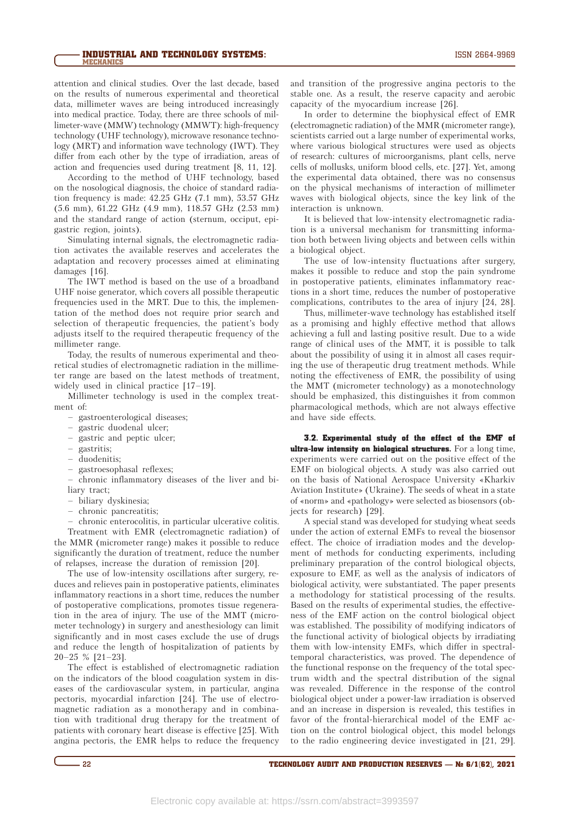attention and clinical studies. Over the last decade, based on the results of numerous experimental and theoretical data, millimeter waves are being introduced increasingly into medical practice. Today, there are three schools of millimeter-wave (MMW) technology (MMWT): high-frequency technology (UHF technology), microwave resonance technology (MRT) and information wave technology (IWT). They differ from each other by the type of irradiation, areas of action and frequencies used during treatment [8, 11, 12].

According to the method of UHF technology, based on the nosological diagnosis, the choice of standard radiation frequency is made: 42.25 GHz (7.1 mm), 53.57 GHz (5.6 mm), 61.22 GHz (4.9 mm), 118.57 GHz (2.53 mm) and the standard range of action (sternum, occiput, epigastric region, joints).

Simulating internal signals, the electromagnetic radiation activates the available reserves and accelerates the adaptation and recovery processes aimed at eliminating damages [16].

The IWT method is based on the use of a broadband UHF noise generator, which covers all possible therapeutic frequencies used in the MRT. Due to this, the implementation of the method does not require prior search and selection of therapeutic frequencies, the patient's body adjusts itself to the required therapeutic frequency of the millimeter range.

Today, the results of numerous experimental and theoretical studies of electromagnetic radiation in the millimeter range are based on the latest methods of treatment, widely used in clinical practice [17–19].

Millimeter technology is used in the complex treatment of:

– gastroenterological diseases;

- gastric duodenal ulcer;
- gastric and peptic ulcer;
- gastritis;
- duodenitis;
- gastroesophasal reflexes;

– chronic inflammatory diseases of the liver and biliary tract;

- biliary dyskinesia;
- chronic pancreatitis;

– chronic enterocolitis, in particular ulcerative colitis. Treatment with EMR (electromagnetic radiation) of

the MMR (micrometer range) makes it possible to reduce significantly the duration of treatment, reduce the number of relapses, increase the duration of remission [20].

The use of low-intensity oscillations after surgery, reduces and relieves pain in postoperative patients, eliminates inflammatory reactions in a short time, reduces the number of postoperative complications, promotes tissue regeneration in the area of injury. The use of the MMT (micrometer technology) in surgery and anesthesiology can limit significantly and in most cases exclude the use of drugs and reduce the length of hospitalization of patients by 20–25 % [21–23].

The effect is established of electromagnetic radiation on the indicators of the blood coagulation system in diseases of the cardiovascular system, in particular, angina pectoris, myocardial infarction [24]. The use of electromagnetic radiation as a monotherapy and in combination with traditional drug therapy for the treatment of patients with coronary heart disease is effective [25]. With angina pectoris, the ЕМR helps to reduce the frequency

and transition of the progressive angina pectoris to the stable one. As a result, the reserve capacity and aerobic capacity of the myocardium increase [26].

In order to determine the biophysical effect of EMR (electromagnetic radiation) of the MMR (micrometer range), scientists carried out a large number of experimental works, where various biological structures were used as objects of research: cultures of microorganisms, plant cells, nerve cells of mollusks, uniform blood cells, etc. [27]. Yet, among the experimental data obtained, there was no consensus on the physical mechanisms of interaction of millimeter waves with biological objects, since the key link of the interaction is unknown.

It is believed that low-intensity electromagnetic radiation is a universal mechanism for transmitting information both between living objects and between cells within a biological object.

The use of low-intensity fluctuations after surgery, makes it possible to reduce and stop the pain syndrome in postoperative patients, eliminates inflammatory reactions in a short time, reduces the number of postoperative complications, contributes to the area of injury [24, 28].

Thus, millimeter-wave technology has established itself as a promising and highly effective method that allows achieving a full and lasting positive result. Due to a wide range of clinical uses of the MMT, it is possible to talk about the possibility of using it in almost all cases requiring the use of therapeutic drug treatment methods. While noting the effectiveness of EMR, the possibility of using the MMT (micrometer technology) as a monotechnology should be emphasized, this distinguishes it from common pharmacological methods, which are not always effective and have side effects.

3.2. Experimental study of the effect of the EMF of ultra-low intensity on biological structures. For a long time, experiments were carried out on the positive effect of the EMF on biological objects. A study was also carried out on the basis of National Aerospace University «Kharkiv Aviation Institute» (Ukraine). The seeds of wheat in a state of «norm» and «pathology» were selected as biosensors (objects for research) [29].

A special stand was developed for studying wheat seeds under the action of external EMFs to reveal the biosensor effect. The choice of irradiation modes and the development of methods for conducting experiments, including preliminary preparation of the control biological objects, exposure to EMF, as well as the analysis of indicators of biological activity, were substantiated. The paper presents a methodology for statistical processing of the results. Based on the results of experimental studies, the effectiveness of the EMF action on the control biological object was established. The possibility of modifying indicators of the functional activity of biological objects by irradiating them with low-intensity EMFs, which differ in spectraltemporal characteristics, was proved. The dependence of the functional response on the frequency of the total spectrum width and the spectral distribution of the signal was revealed. Difference in the response of the control biological object under a power-law irradiation is observed and an increase in dispersion is revealed, this testifies in favor of the frontal-hierarchical model of the EMF action on the control biological object, this model belongs to the radio engineering device investigated in [21, 29].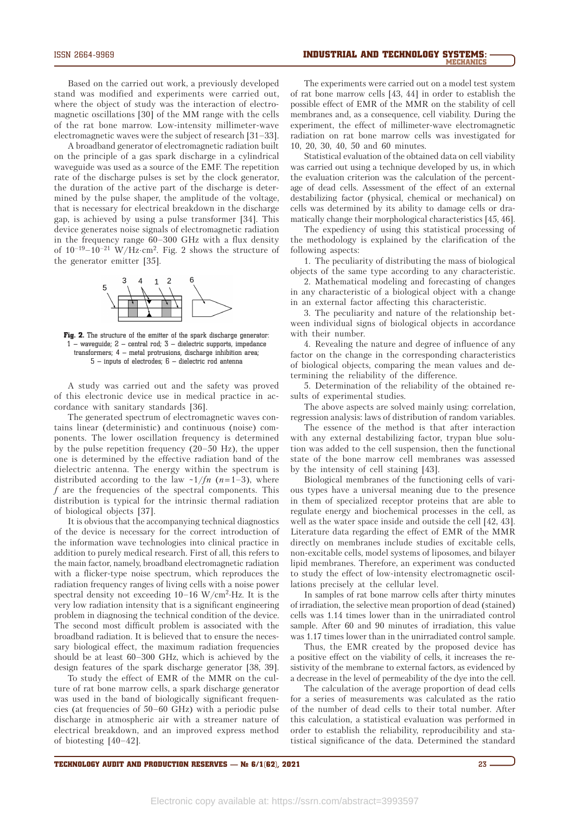Based on the carried out work, a previously developed stand was modified and experiments were carried out, where the object of study was the interaction of electromagnetic oscillations [30] of the MM range with the cells of the rat bone marrow. Low-intensity millimeter-wave electromagnetic waves were the subject of research [31–33].

A broadband generator of electromagnetic radiation built on the principle of a gas spark discharge in a cylindrical waveguide was used as a source of the EMF. The repetition rate of the discharge pulses is set by the clock generator, the duration of the active part of the discharge is determined by the pulse shaper, the amplitude of the voltage, that is necessary for electrical breakdown in the discharge gap, is achieved by using a pulse transformer [34]. This device generates noise signals of electromagnetic radiation in the frequency range 60–300 GHz with a flux density of  $10^{-19}-10^{-21}$  W/Hz·cm<sup>2</sup>. Fig. 2 shows the structure of the generator emitter [35].



Fig. 2. The structure of the emitter of the spark discharge generator: 1 – waveguide; 2 – central rod; 3 – dielectric supports, impedance transformers; 4 – metal protrusions, discharge inhibition area; 5 – inputs of electrodes; 6 – dielectric rod antenna

A study was carried out and the safety was proved of this electronic device use in medical practice in accordance with sanitary standards [36].

The generated spectrum of electromagnetic waves contains linear (deterministic) and continuous (noise) components. The lower oscillation frequency is determined by the pulse repetition frequency (20–50 Hz), the upper one is determined by the effective radiation band of the dielectric antenna. The energy within the spectrum is distributed according to the law  $\sim 1/fn$  (*n*=1–3), where *f* are the frequencies of the spectral components. This distribution is typical for the intrinsic thermal radiation of biological objects [37].

It is obvious that the accompanying technical diagnostics of the device is necessary for the correct introduction of the information wave technologies into clinical practice in addition to purely medical research. First of all, this refers to the main factor, namely, broadband electromagnetic radiation with a flicker-type noise spectrum, which reproduces the radiation frequency ranges of living cells with a noise power spectral density not exceeding  $10-16$  W/cm<sup>2</sup>·Hz. It is the very low radiation intensity that is a significant engineering problem in diagnosing the technical condition of the device. The second most difficult problem is associated with the broadband radiation. It is believed that to ensure the necessary biological effect, the maximum radiation frequencies should be at least 60–300 GHz, which is achieved by the design features of the spark discharge generator [38, 39].

To study the effect of EMR of the MMR on the culture of rat bone marrow cells, a spark discharge generator was used in the band of biologically significant frequencies (at frequencies of 50–60 GHz) with a periodic pulse discharge in atmospheric air with a streamer nature of electrical breakdown, and an improved express method of biotesting [40–42].

The experiments were carried out on a model test system of rat bone marrow cells [43, 44] in order to establish the possible effect of EMR of the MMR on the stability of cell membranes and, as a consequence, cell viability. During the experiment, the effect of millimeter-wave electromagnetic radiation on rat bone marrow cells was investigated for 10, 20, 30, 40, 50 and 60 minutes.

Statistical evaluation of the obtained data on cell viability was carried out using a technique developed by us, in which the evaluation criterion was the calculation of the percentage of dead cells. Assessment of the effect of an external destabilizing factor (physical, chemical or mechanical) on cells was determined by its ability to damage cells or dramatically change their morphological characteristics [45, 46].

The expediency of using this statistical processing of the methodology is explained by the clarification of the following aspects:

1. The peculiarity of distributing the mass of biological objects of the same type according to any characteristic.

2. Mathematical modeling and forecasting of changes in any characteristic of a biological object with a change in an external factor affecting this characteristic.

3. The peculiarity and nature of the relationship between individual signs of biological objects in accordance with their number.

4. Revealing the nature and degree of influence of any factor on the change in the corresponding characteristics of biological objects, comparing the mean values and determining the reliability of the difference.

5. Determination of the reliability of the obtained results of experimental studies.

The above aspects are solved mainly using: correlation, regression analysis: laws of distribution of random variables.

The essence of the method is that after interaction with any external destabilizing factor, trypan blue solution was added to the cell suspension, then the functional state of the bone marrow cell membranes was assessed by the intensity of cell staining [43].

Biological membranes of the functioning cells of various types have a universal meaning due to the presence in them of specialized receptor proteins that are able to regulate energy and biochemical processes in the cell, as well as the water space inside and outside the cell [42, 43]. Literature data regarding the effect of EMR of the MMR directly on membranes include studies of excitable cells, non-excitable cells, model systems of liposomes, and bilayer lipid membranes. Therefore, an experiment was conducted to study the effect of low-intensity electromagnetic oscillations precisely at the cellular level.

In samples of rat bone marrow cells after thirty minutes of irradiation, the selective mean proportion of dead (stained) cells was 1.14 times lower than in the unirradiated control sample. After 60 and 90 minutes of irradiation, this value was 1.17 times lower than in the unirradiated control sample.

Thus, the EMR created by the proposed device has a positive effect on the viability of cells, it increases the resistivity of the membrane to external factors, as evidenced by a decrease in the level of permeability of the dye into the cell.

The calculation of the average proportion of dead cells for a series of measurements was calculated as the ratio of the number of dead cells to their total number. After this calculation, a statistical evaluation was performed in order to establish the reliability, reproducibility and statistical significance of the data. Determined the standard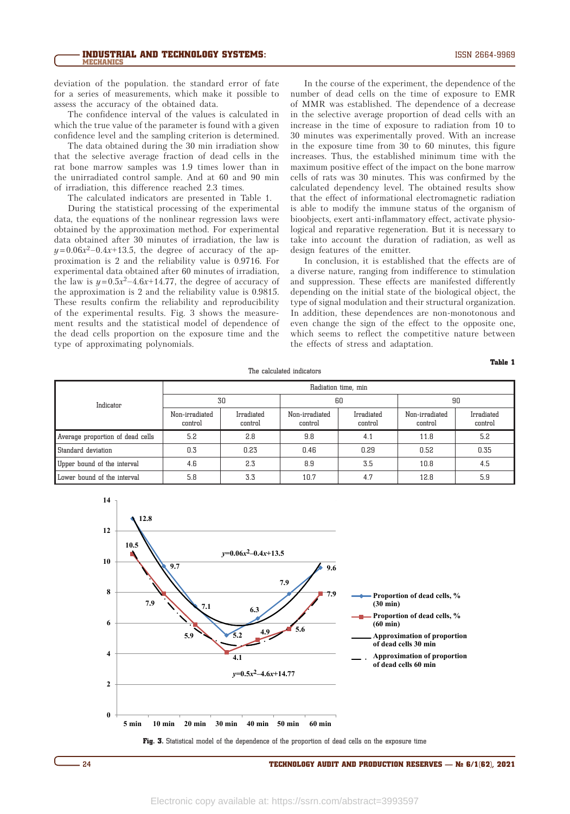deviation of the population. the standard error of fate for a series of measurements, which make it possible to assess the accuracy of the obtained data.

The confidence interval of the values is calculated in which the true value of the parameter is found with a given confidence level and the sampling criterion is determined.

The data obtained during the 30 min irradiation show that the selective average fraction of dead cells in the rat bone marrow samples was 1.9 times lower than in the unirradiated control sample. And at 60 and 90 min of irradiation, this difference reached 2.3 times.

The calculated indicators are presented in Table 1.

During the statistical processing of the experimental data, the equations of the nonlinear regression laws were obtained by the approximation method. For experimental data obtained after 30 minutes of irradiation, the law is  $y = 0.06x^2 - 0.4x + 13.5$ , the degree of accuracy of the approximation is 2 and the reliability value is 0.9716. For experimental data obtained after 60 minutes of irradiation, the law is  $y=0.5x^2-4.6x+14.77$ , the degree of accuracy of the approximation is 2 and the reliability value is 0.9815. These results confirm the reliability and reproducibility of the experimental results. Fig. 3 shows the measurement results and the statistical model of dependence of the dead cells proportion on the exposure time and the type of approximating polynomials.

In the course of the experiment, the dependence of the number of dead cells on the time of exposure to EMR of MMR was established. The dependence of a decrease in the selective average proportion of dead cells with an increase in the time of exposure to radiation from 10 to 30 minutes was experimentally proved. With an increase in the exposure time from 30 to 60 minutes, this figure increases. Thus, the established minimum time with the maximum positive effect of the impact on the bone marrow cells of rats was 30 minutes. This was confirmed by the calculated dependency level. The obtained results show that the effect of informational electromagnetic radiation is able to modify the immune status of the organism of bioobjects, exert anti-inflammatory effect, activate physiological and reparative regeneration. But it is necessary to take into account the duration of radiation, as well as design features of the emitter.

In conclusion, it is established that the effects are of a diverse nature, ranging from indifference to stimulation and suppression. These effects are manifested differently depending on the initial state of the biological object, the type of signal modulation and their structural organization. In addition, these dependences are non-monotonous and even change the sign of the effect to the opposite one, which seems to reflect the competitive nature between the effects of stress and adaptation.

The calculated indicators

# Table 1

| Indicator                        | Radiation time, min       |                       |                           |                       |                           |                       |
|----------------------------------|---------------------------|-----------------------|---------------------------|-----------------------|---------------------------|-----------------------|
|                                  | 30                        |                       | 60                        |                       | 90                        |                       |
|                                  | Non-irradiated<br>control | Irradiated<br>control | Non-irradiated<br>control | Irradiated<br>control | Non-irradiated<br>control | Irradiated<br>control |
| Average proportion of dead cells | 5.2                       | 2.8                   | 9.8                       | 4.1                   | 11.8                      | 5.2                   |
| Standard deviation               | 0.3                       | 0.23                  | 0.46                      | 0.29                  | 0.52                      | 0.35                  |
| Upper bound of the interval      | 4.6                       | 2.3                   | 8.9                       | 3.5                   | 10.8                      | 4.5                   |
| Lower bound of the interval      | 5.8                       | 3.3                   | 10.7                      | 4.7                   | 12.8                      | 5.9                   |



Fig. 3. Statistical model of the dependence of the proportion of dead cells on the exposure time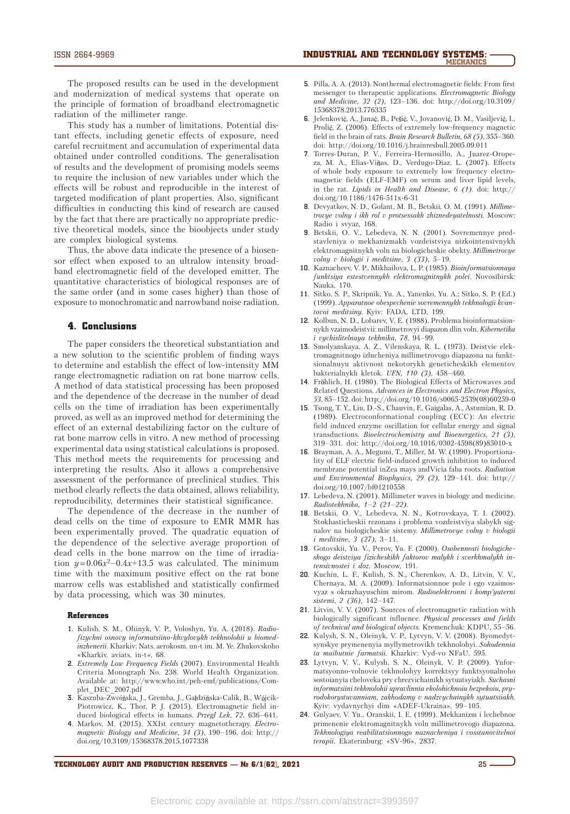The proposed results can be used in the development and modernization of medical systems that operate on the principle of formation of broadband electromagnetic radiation of the millimeter range.

This study has a number of limitations. Potential distant effects, including genetic effects of exposure, need careful recruitment and accumulation of experimental data obtained under controlled conditions. The generalisation of results and the development of promising models seems to require the inclusion of new variables under which the effects will be robust and reproducible in the interest of targeted modification of plant properties. Also, significant difficulties in conducting this kind of research are caused by the fact that there are practically no appropriate predictive theoretical models, since the bioobjects under study are complex biological systems.

Thus, the above data indicate the presence of a biosensor effect when exposed to an ultralow intensity broadband electromagnetic field of the developed emitter. The quantitative characteristics of biological responses are of the same order (and in some cases higher) than those of exposure to monochromatic and narrowband noise radiation.

## 4. Conclusions

The paper considers the theoretical substantiation and a new solution to the scientific problem of finding ways to determine and establish the effect of low-intensity MM range electromagnetic radiation on rat bone marrow cells. A method of data statistical processing has been proposed and the dependence of the decrease in the number of dead cells on the time of irradiation has been experimentally proved, as well as an improved method for determining the effect of an external destabilizing factor on the culture of rat bone marrow cells in vitro. A new method of processing experimental data using statistical calculations is proposed. This method meets the requirements for processing and interpreting the results. Also it allows a comprehensive assessment of the performance of preclinical studies. This method clearly reflects the data obtained, allows reliability, reproducibility, determines their statistical significance.

The dependence of the decrease in the number of dead cells on the time of exposure to EMR MMR has been experimentally proved. The quadratic equation of the dependence of the selective average proportion of dead cells in the bone marrow on the time of irradiation  $y=0.06x^2-0.4x+13.5$  was calculated. The minimum time with the maximum positive effect on the rat bone marrow cells was established and statistically confirmed by data processing, which was 30 minutes.

#### References

- **1.** Kulish, S. M., Oliinyk, V. P., Voloshyn, Yu. A. (2018). *Radiofizychni osnovy informatsiino-khvylovykh tekhnolohii u biomedinzhenerii.* Kharkiv: Nats. aerokosm. un-t im. M. Ye. Zhukovskoho «Kharkiv. aviats. in-t», 68.
- **2.** *Extremely Low Frequency Fields* (2007). Environmental Health Criteria Monograph No. 238. World Health Organization. Available at: http://www.who.int/peh-emf/publications/Complet\_DEC\_2007.pdf
- 3. Kaszuba-Zwoińska, J., Gremba, J., Gałdzińska-Calik, B., Wójcik-Piotrowicz, K., Thor, P. J. (2015). Electromagnetic field induced biological effects in humans. *Przegl Lek, 72,* 636–641.
- **4.** Markov, M. (2015). XXIst century magnetotherapy. *Electromagnetic Biology and Medicine, 34 (3),* 190–196. doi: http:// doi.org/10.3109/15368378.2015.1077338
- **5.** Pilla, A. A. (2013). Nonthermal electromagnetic fields: From first messenger to therapeutic applications. *Electromagnetic Biology and Medicine, 32 (2),* 123–136. doi: http://doi.org/10.3109/ 15368378.2013.776335
- **6.** Jelenković, A., Janać, B., Pešić, V., Jovanović, D. M., Vasiljević, I., Prolić, Z. (2006). Effects of extremely low-frequency magnetic field in the brain of rats. *Brain Research Bulletin, 68 (5),* 355–360. doi: http://doi.org/10.1016/j.brainresbull.2005.09.011
- **7.** Torres-Duran, P. V., Ferreira-Hermosillo, A., Juarez-Oropeza, M. A., Elias-Viñas, D., Verdugo-Diaz, L. (2007). Effects of whole body exposure to extremely low frequency electromagnetic fields (ELF-EMF) on serum and liver lipid levels, in the rat. *Lipids in Health and Disease, 6 (1).* doi: http:// doi.org/10.1186/1476-511x-6-31
- **8.** Devyatkov, N. D., Golant, M. B., Betskii, O. M. (1991). *Millimetrovye volny i ikh rol v protsessakh zhiznedeyatelnosti*. Moscow: Radio i svyaz, 168.
- **9.** Betskii, O. V., Lebedeva, N. N. (2001). Sovremennye predstavleniya o mekhanizmakh vozdeistviya nizkointensivnykh elektromagnitnykh voln na biologicheskie obekty. *Millimetrovye volny v biologii i meditsine, 3 (33),* 5–19.
- **10.** Kaznacheev, V. P., Mikhailova, L. P. (1985). *Bioinformatsionnaya funktsiya estestvennykh elektromagnitnykh polei*. Novosibirsk: Nauka, 170.
- **11.** Sitko, S. P., Skripnik, Yu. A., Yanenko, Yu. A.; Sitko, S. P. (Ed.) (1999). *Apparatnoe obespechenie sovremennykh tekhnologii kvantovoi meditsiny.* Kyiv: FADA, LTD, 199.
- **12.** Kolbun, N. D., Lobarev, V. E. (1988). Problema bioinformatsionnykh vzaimodeistvii: millimetrovyi diapazon dlin voln. *Kibernetika i vychislitelnaya tekhnika, 78*, 94–99.
- **13.** Smolyanskaya, A. Z., Vilenskaya, R. L. (1973). Deistvie elektromagnitnogo izlucheniya millimetrovogo diapazona na funktsionalnuyu aktivnost nekotorykh geneticheskikh elementov bakterialnykh kletok. *UFN, 110 (3),* 458–460.
- 14. Fröhlich, H. (1980). The Biological Effects of Microwaves and Related Questions. *Advances in Electronics and Electron Physics, 53,* 85–152. doi: http://doi.org/10.1016/s0065-2539(08)60259-0
- **15.** Tsong, T. Y., Liu, D.-S., Chauvin, F., Gaigalas, A., Astumian, R. D. (1989). Electroconformational coupling (ECC): An electric field induced enzyme oscillation for cellular energy and signal transductions. *Bioelectrochemistry and Bioenergetics, 21 (3),* 319–331. doi: http://doi.org/10.1016/0302-4598(89)85010-x
- **16.** Brayman, A. A., Megumi, T., Miller, M. W. (1990). Proportionality of ELF electric field-induced growth inhibition to induced membrane potential inZea mays andVicia faba roots. *Radiation and Environmental Biophysics, 29 (2),* 129–141. doi: http:// doi.org/10.1007/bf01210558
- **17.** Lebedeva, N. (2001). Millimeter waves in biology and medicine. *Radiotekhnika, 1–2 (21–22).*
- **18.** Betskii, O. V., Lebedeva, N. N., Kotrovskaya, T. I. (2002). Stokhasticheskii rezonans i problema vozdeistviya slabykh signalov na biologicheskie sistemy. *Millimetrovye volny v biologii i meditsine, 3 (27),* 3–11.
- **19.** Gotovskii, Yu. V., Perov, Yu. F. (2000). *Osobennosti biologicheskogo deistviya fizicheskikh faktorov malykh i sverkhmalykh intensivnostei i doz*. Moscow, 191.
- **20.** Kuchin, L. F., Kulish, S. N., Cherenkov, A. D., Litvin, V. V., Chernaya, M. A. (2009). Informatsionnoe pole i ego vzaimosvyaz s okruzhayuschim mirom. *Radіoelektronnі і komp'yuternі sistemi, 2 (36),* 142–147.
- **21.** Litvin, V. V. (2007). Sources of electromagnetic radiation with biologically significant influence. *Physical processes and fields of technical and biological objects.* Kremenchuk: KDPU, 55–56.
- **22.** Kulysh, S. N., Oleinyk, V. P., Lytvyn, V. V. (2008). Byomedytsynskye prymenenyia myllymetrovikh tekhnolohyi. *Sohodennia ta maibutnie farmatsii.* Kharkiv: Vyd-vo NFaU, 595.
- **23.** Lytvyn, V. V., Kulysh, S. N., Oleinyk, V. P. (2009). Ynformatsyonno-volnovie tekhnolohyy korrektsyy funktsyonalnoho sostoianyia cheloveka pry chrezvichainikh sytuatsyiakh. *Suchasni informatsiini tekhnolohii upravlinnia ekolohichnoiu bezpekoiu, pryrodokorystuvanniam, zakhodamy v nadzvychainykh sytuatsiiakh*. Kyiv: vydavnychyi dim «ADEF-Ukraina», 99–105.
- **24.** Gulyaev, V. Yu., Oranskii, I. E. (1999). Mekhanizm i lechebnoe primenenie elektromagnitnykh voln millimetrovogo diapazona. *Tekhnologiya reabilitatsionnogo naznacheniya i vosstanovitelnoi terapii*. Ekaterinburg: «SV-96», 2837.

TECHNOLOGY AUDIT AND PRODUCTION RESERVES —  $N_e$  6/1(62), 2021 **25** 25 **25**